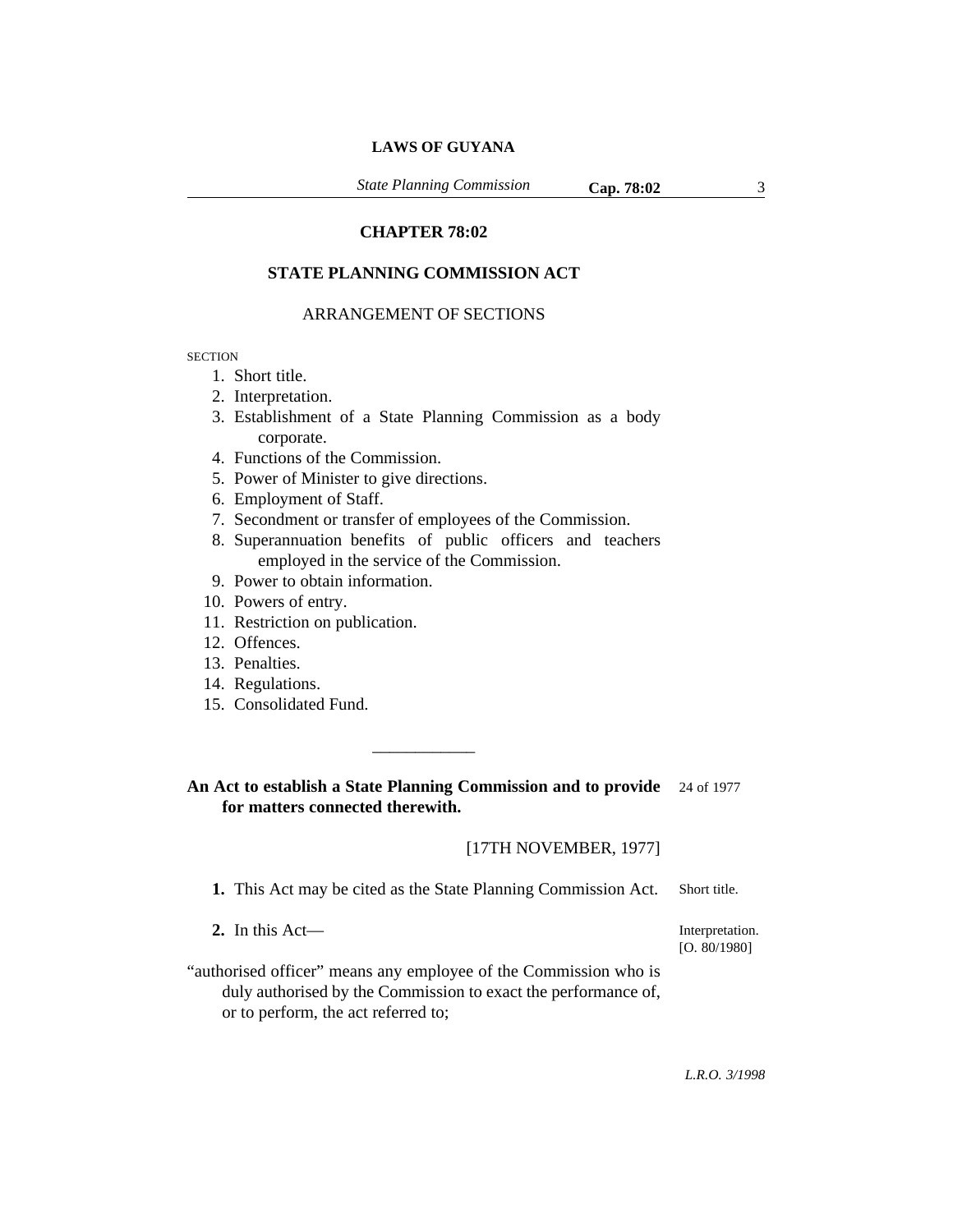*State Planning Commission* **Cap. 78:02** 3

# **CHAPTER 78:02**

# **STATE PLANNING COMMISSION ACT**

## ARRANGEMENT OF SECTIONS

**SECTION** 

- 1. Short title.
- 2. Interpretation.
- 3. Establishment of a State Planning Commission as a body corporate.
- 4. Functions of the Commission.
- 5. Power of Minister to give directions.
- 6. Employment of Staff.
- 7. Secondment or transfer of employees of the Commission.
- 8. Superannuation benefits of public officers and teachers employed in the service of the Commission.
- 9. Power to obtain information.
- 10. Powers of entry.
- 11. Restriction on publication.
- 12. Offences.
- 13. Penalties.
- 14. Regulations.
- 15. Consolidated Fund.

**An Act to establish a State Planning Commission and to provide** 24 of 1977 **for matters connected therewith.**

\_\_\_\_\_\_\_\_\_\_\_\_

[17TH NOVEMBER, 1977]

**1.** This Act may be cited as the State Planning Commission Act. Short title.

**2.** In this Act—

Interpretation. [O. 80/1980]

"authorised officer" means any employee of the Commission who is duly authorised by the Commission to exact the performance of, or to perform, the act referred to;

*L.R.O. 3/1998*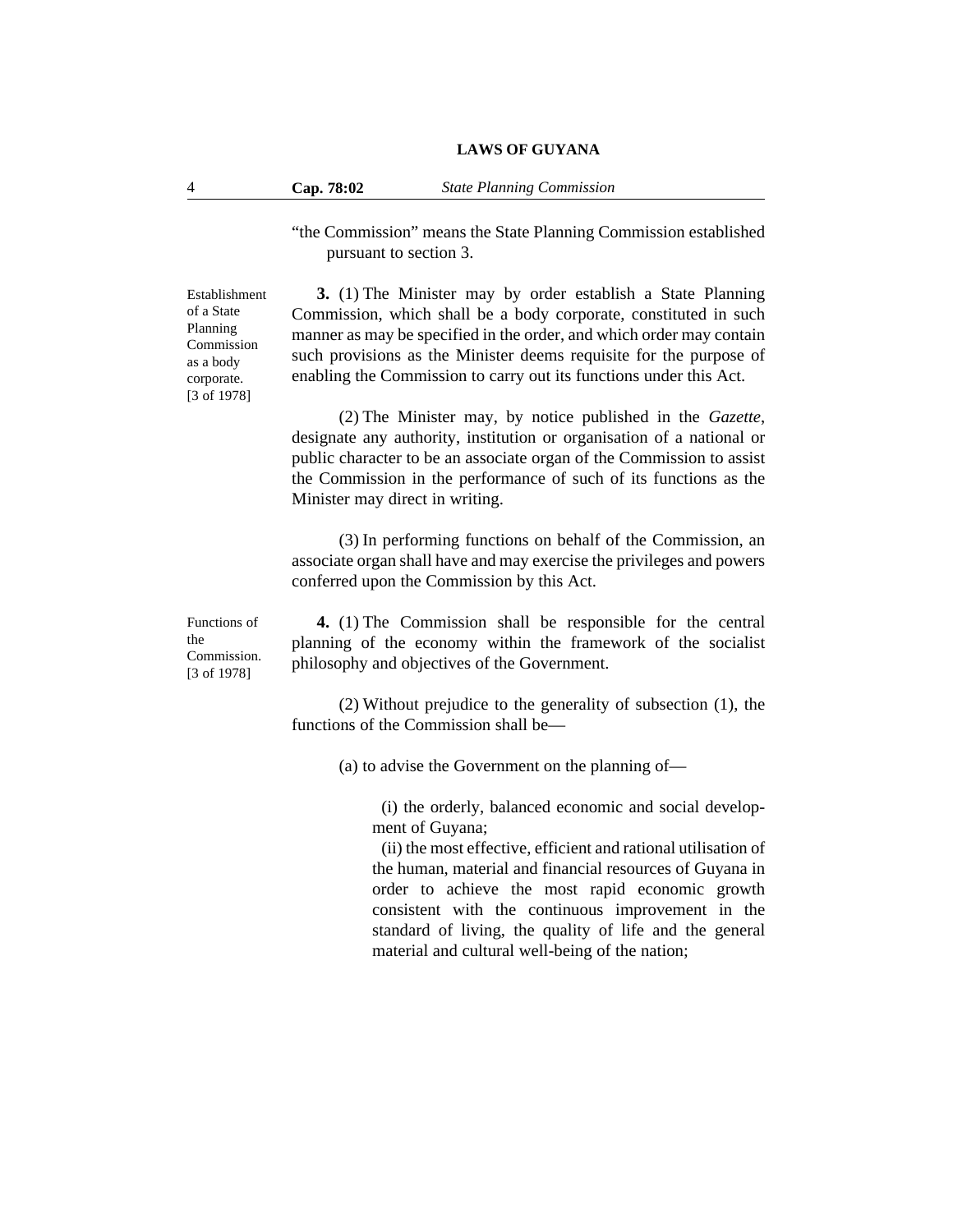4 **Cap. 78:02** *State Planning Commission*

"the Commission" means the State Planning Commission established pursuant to section 3.

Establishment of a State Planning Commission as a body corporate. [3 of 1978]

**3.** (1) The Minister may by order establish a State Planning Commission, which shall be a body corporate, constituted in such manner as may be specified in the order, and which order may contain such provisions as the Minister deems requisite for the purpose of enabling the Commission to carry out its functions under this Act.

(2) The Minister may, by notice published in the *Gazette*, designate any authority, institution or organisation of a national or public character to be an associate organ of the Commission to assist the Commission in the performance of such of its functions as the Minister may direct in writing.

(3) In performing functions on behalf of the Commission, an associate organ shall have and may exercise the privileges and powers conferred upon the Commission by this Act.

Functions of the Commission. [3 of 1978]

**4.** (1) The Commission shall be responsible for the central planning of the economy within the framework of the socialist philosophy and objectives of the Government.

(2) Without prejudice to the generality of subsection (1), the functions of the Commission shall be—

(a) to advise the Government on the planning of—

(i) the orderly, balanced economic and social development of Guyana;

(ii) the most effective, efficient and rational utilisation of the human, material and financial resources of Guyana in order to achieve the most rapid economic growth consistent with the continuous improvement in the standard of living, the quality of life and the general material and cultural well-being of the nation;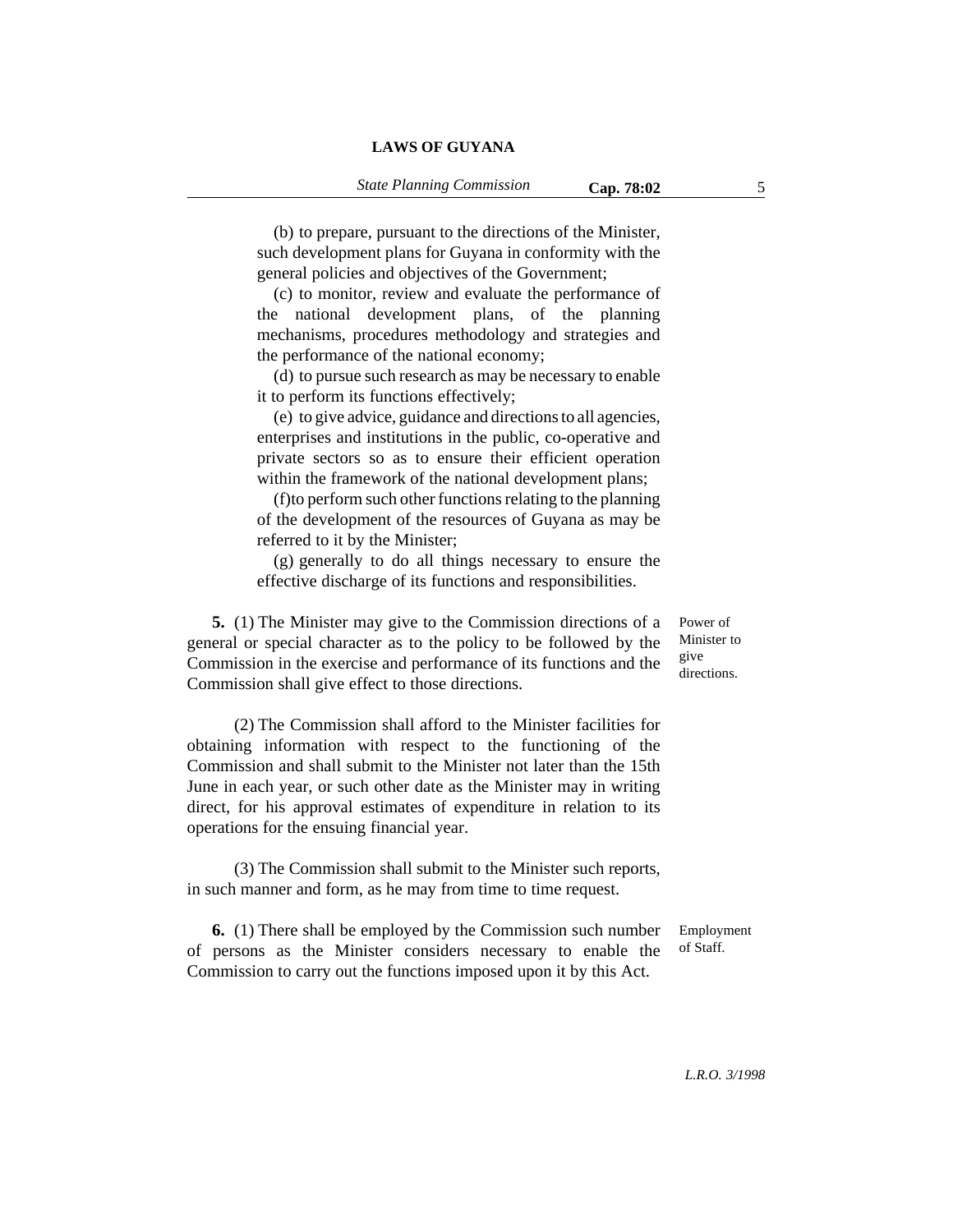(b) to prepare, pursuant to the directions of the Minister, such development plans for Guyana in conformity with the general policies and objectives of the Government;

(c) to monitor, review and evaluate the performance of the national development plans, of the planning mechanisms, procedures methodology and strategies and the performance of the national economy;

(d) to pursue such research as may be necessary to enable it to perform its functions effectively;

(e) to give advice, guidance and directions to all agencies, enterprises and institutions in the public, co-operative and private sectors so as to ensure their efficient operation within the framework of the national development plans;

(f)to perform such other functions relating to the planning of the development of the resources of Guyana as may be referred to it by the Minister;

(g) generally to do all things necessary to ensure the effective discharge of its functions and responsibilities.

**5.** (1) The Minister may give to the Commission directions of a general or special character as to the policy to be followed by the Commission in the exercise and performance of its functions and the Commission shall give effect to those directions.

(2) The Commission shall afford to the Minister facilities for obtaining information with respect to the functioning of the Commission and shall submit to the Minister not later than the 15th June in each year, or such other date as the Minister may in writing direct, for his approval estimates of expenditure in relation to its operations for the ensuing financial year.

(3) The Commission shall submit to the Minister such reports, in such manner and form, as he may from time to time request.

**6.** (1) There shall be employed by the Commission such number of persons as the Minister considers necessary to enable the Commission to carry out the functions imposed upon it by this Act. Employment

Power of Minister to give directions.

of Staff.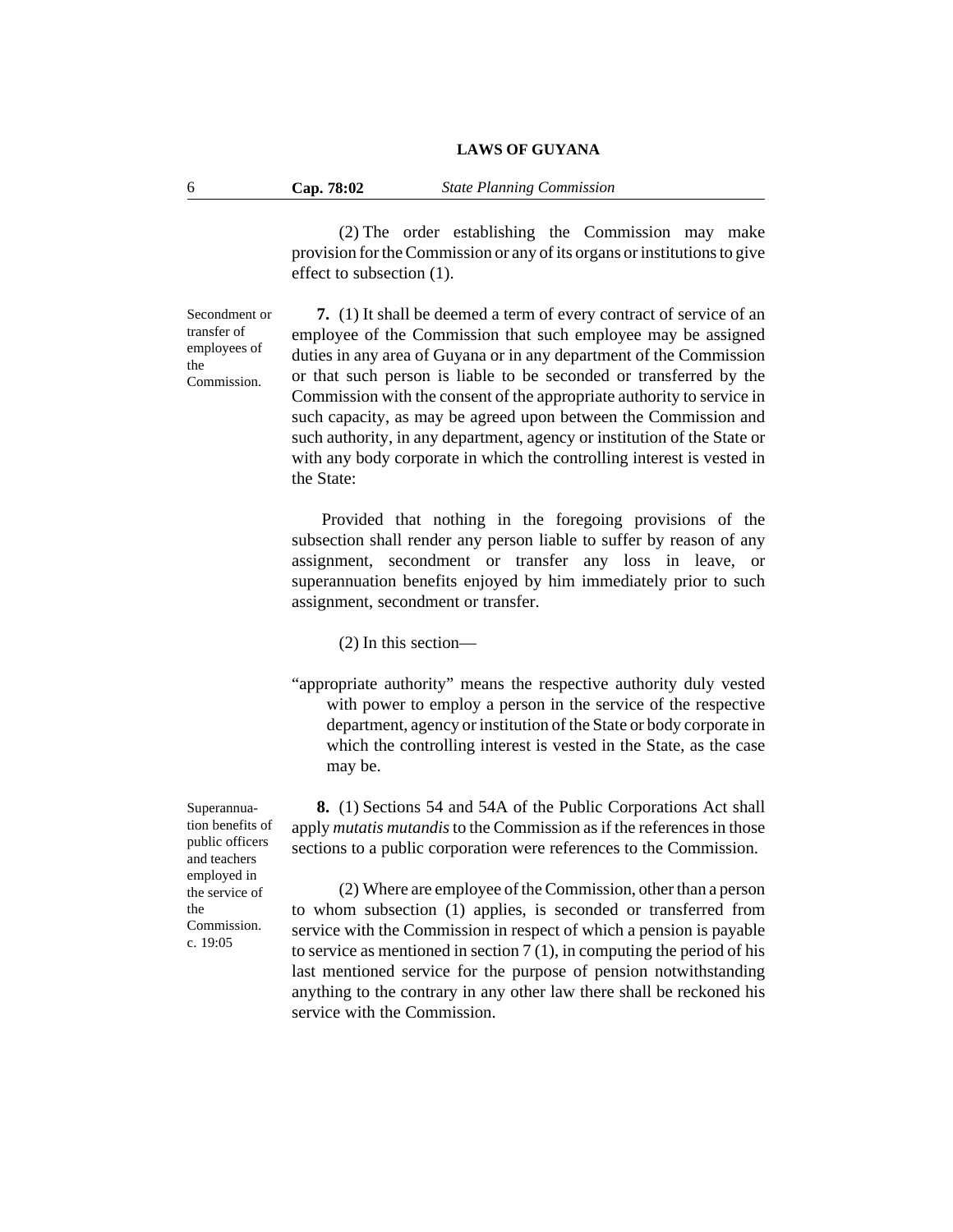(2) The order establishing the Commission may make provision for the Commission or any of its organs or institutions to give effect to subsection (1).

Secondment or transfer of employees of the Commission.

**7.** (1) It shall be deemed a term of every contract of service of an employee of the Commission that such employee may be assigned duties in any area of Guyana or in any department of the Commission or that such person is liable to be seconded or transferred by the Commission with the consent of the appropriate authority to service in such capacity, as may be agreed upon between the Commission and such authority, in any department, agency or institution of the State or with any body corporate in which the controlling interest is vested in the State:

Provided that nothing in the foregoing provisions of the subsection shall render any person liable to suffer by reason of any assignment, secondment or transfer any loss in leave, or superannuation benefits enjoyed by him immediately prior to such assignment, secondment or transfer.

(2) In this section—

"appropriate authority" means the respective authority duly vested with power to employ a person in the service of the respective department, agency or institution of the State or body corporate in which the controlling interest is vested in the State, as the case may be.

**8.** (1) Sections 54 and 54A of the Public Corporations Act shall apply *mutatis mutandis* to the Commission as if the references in those sections to a public corporation were references to the Commission.

(2) Where are employee of the Commission, other than a person to whom subsection (1) applies, is seconded or transferred from service with the Commission in respect of which a pension is payable to service as mentioned in section 7 (1), in computing the period of his last mentioned service for the purpose of pension notwithstanding anything to the contrary in any other law there shall be reckoned his service with the Commission.

Superannuation benefits of public officers and teachers employed in the service of the Commission. c. 19:05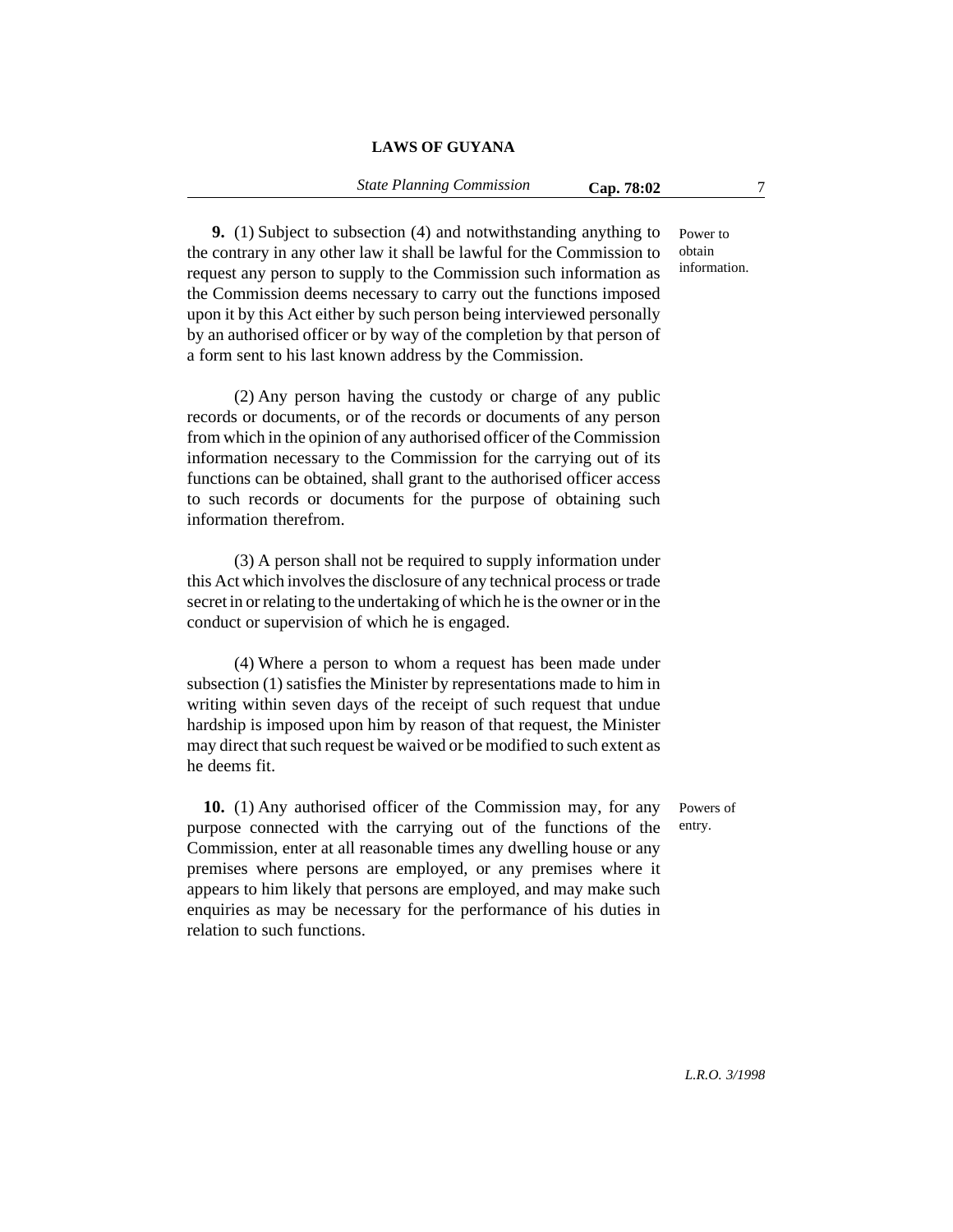### *State Planning Commission* **Cap. 78:02** 7

Power to obtain information.

**9.** (1) Subject to subsection (4) and notwithstanding anything to the contrary in any other law it shall be lawful for the Commission to request any person to supply to the Commission such information as the Commission deems necessary to carry out the functions imposed upon it by this Act either by such person being interviewed personally by an authorised officer or by way of the completion by that person of a form sent to his last known address by the Commission.

(2) Any person having the custody or charge of any public records or documents, or of the records or documents of any person from which in the opinion of any authorised officer of the Commission information necessary to the Commission for the carrying out of its functions can be obtained, shall grant to the authorised officer access to such records or documents for the purpose of obtaining such information therefrom.

(3) A person shall not be required to supply information under this Act which involves the disclosure of any technical process or trade secret in or relating to the undertaking of which he is the owner or in the conduct or supervision of which he is engaged.

(4) Where a person to whom a request has been made under subsection (1) satisfies the Minister by representations made to him in writing within seven days of the receipt of such request that undue hardship is imposed upon him by reason of that request, the Minister may direct that such request be waived or be modified to such extent as he deems fit.

**10.** (1) Any authorised officer of the Commission may, for any purpose connected with the carrying out of the functions of the Commission, enter at all reasonable times any dwelling house or any premises where persons are employed, or any premises where it appears to him likely that persons are employed, and may make such enquiries as may be necessary for the performance of his duties in relation to such functions.

Powers of entry.

*L.R.O. 3/1998*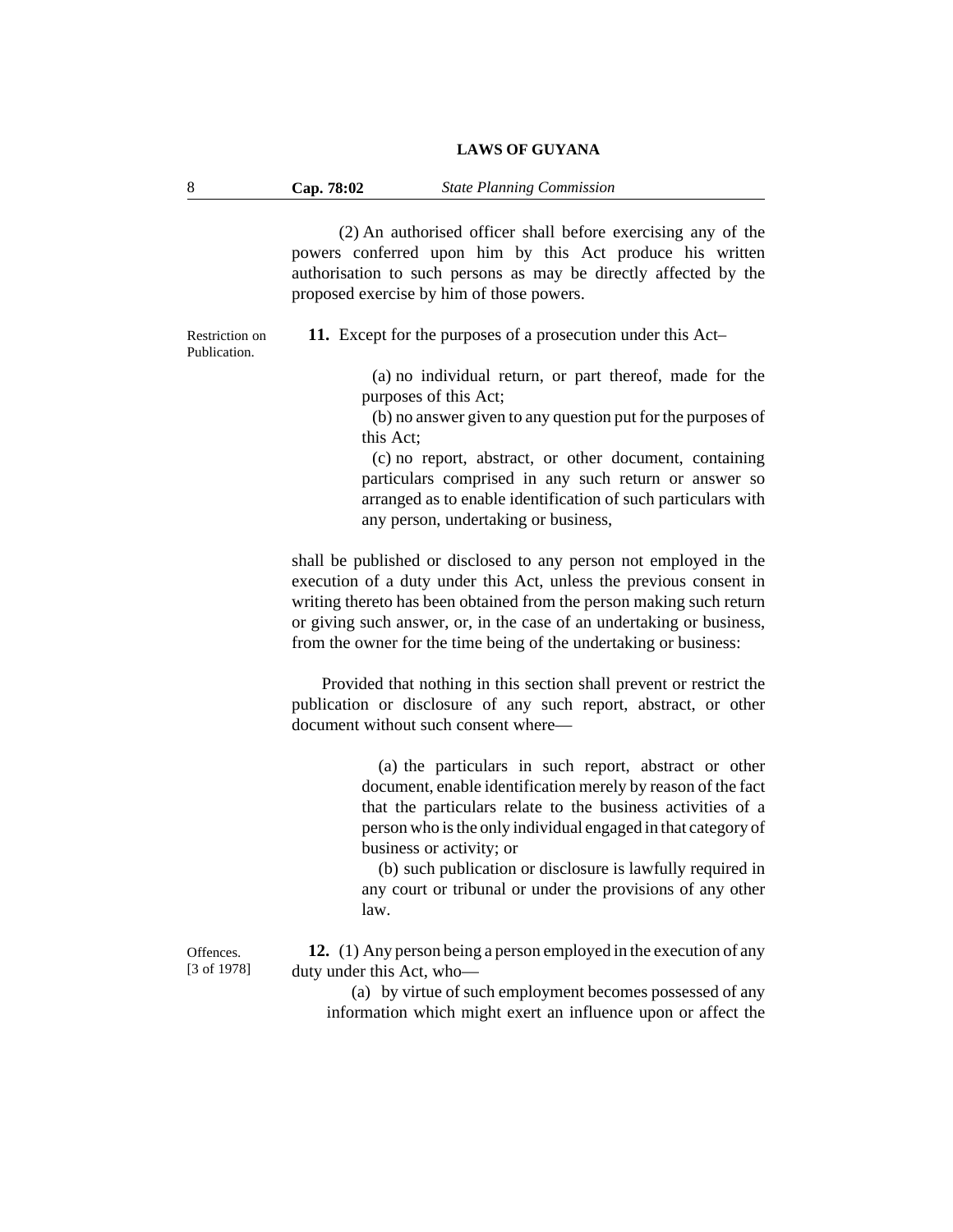| Cap. 78:02 | <b>State Planning Commission</b> |
|------------|----------------------------------|
|------------|----------------------------------|

(2) An authorised officer shall before exercising any of the powers conferred upon him by this Act produce his written authorisation to such persons as may be directly affected by the proposed exercise by him of those powers.

Restriction on Publication.

**11.** Except for the purposes of a prosecution under this Act–

(a) no individual return, or part thereof, made for the purposes of this Act;

(b) no answer given to any question put for the purposes of this Act;

(c) no report, abstract, or other document, containing particulars comprised in any such return or answer so arranged as to enable identification of such particulars with any person, undertaking or business,

shall be published or disclosed to any person not employed in the execution of a duty under this Act, unless the previous consent in writing thereto has been obtained from the person making such return or giving such answer, or, in the case of an undertaking or business, from the owner for the time being of the undertaking or business:

Provided that nothing in this section shall prevent or restrict the publication or disclosure of any such report, abstract, or other document without such consent where—

> (a) the particulars in such report, abstract or other document, enable identification merely by reason of the fact that the particulars relate to the business activities of a person who is the only individual engaged in that category of business or activity; or

> (b) such publication or disclosure is lawfully required in any court or tribunal or under the provisions of any other law.

**Offences** [3 of 1978]

**12.** (1) Any person being a person employed in the execution of any duty under this Act, who—

(a) by virtue of such employment becomes possessed of any information which might exert an influence upon or affect the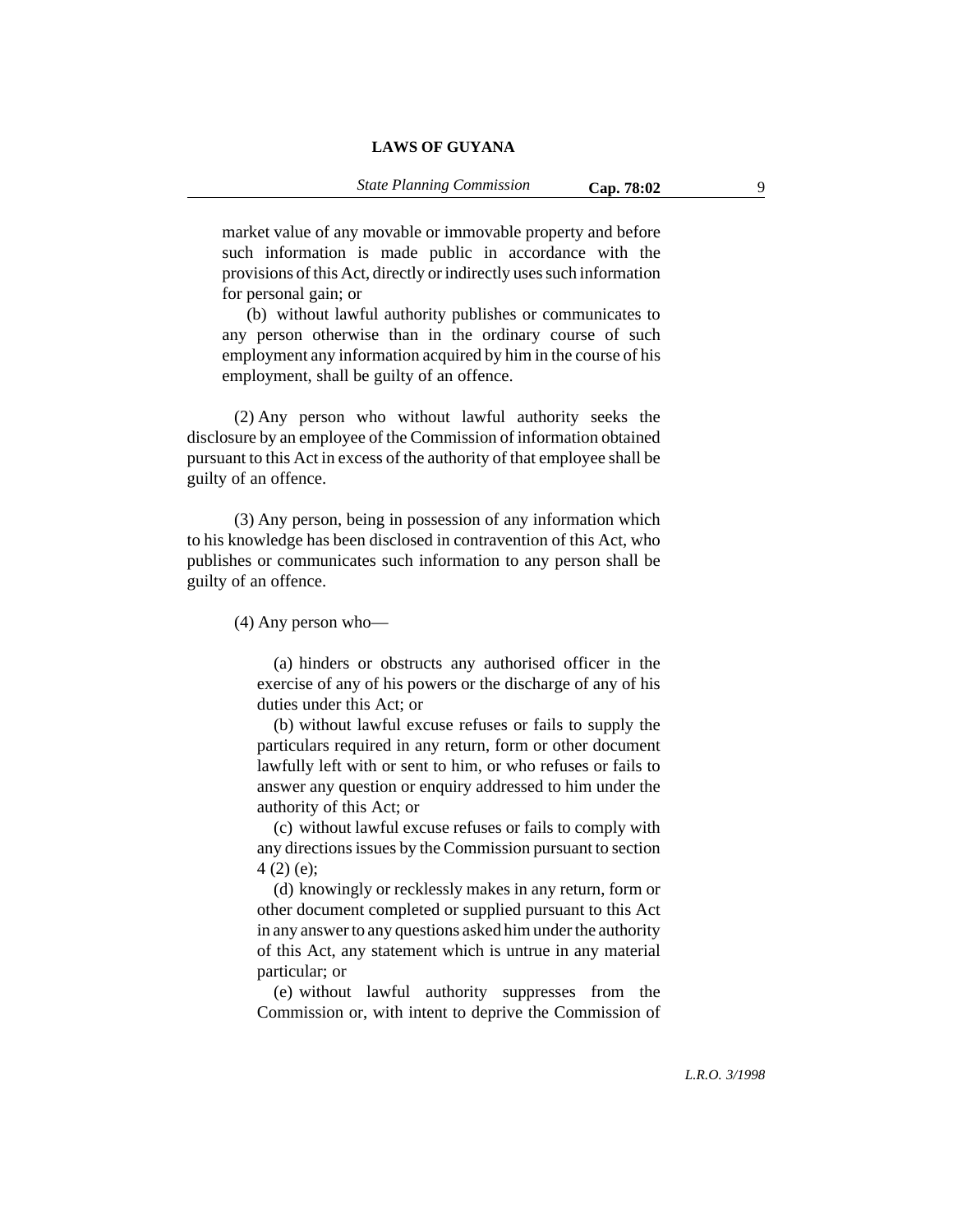market value of any movable or immovable property and before such information is made public in accordance with the provisions of this Act, directly or indirectly uses such information for personal gain; or

(b) without lawful authority publishes or communicates to any person otherwise than in the ordinary course of such employment any information acquired by him in the course of his employment, shall be guilty of an offence.

(2) Any person who without lawful authority seeks the disclosure by an employee of the Commission of information obtained pursuant to this Act in excess of the authority of that employee shall be guilty of an offence.

(3) Any person, being in possession of any information which to his knowledge has been disclosed in contravention of this Act, who publishes or communicates such information to any person shall be guilty of an offence.

(4) Any person who—

(a) hinders or obstructs any authorised officer in the exercise of any of his powers or the discharge of any of his duties under this Act; or

(b) without lawful excuse refuses or fails to supply the particulars required in any return, form or other document lawfully left with or sent to him, or who refuses or fails to answer any question or enquiry addressed to him under the authority of this Act; or

(c) without lawful excuse refuses or fails to comply with any directions issues by the Commission pursuant to section 4 (2) (e);

(d) knowingly or recklessly makes in any return, form or other document completed or supplied pursuant to this Act in any answer to any questions asked him under the authority of this Act, any statement which is untrue in any material particular; or

(e) without lawful authority suppresses from the Commission or, with intent to deprive the Commission of